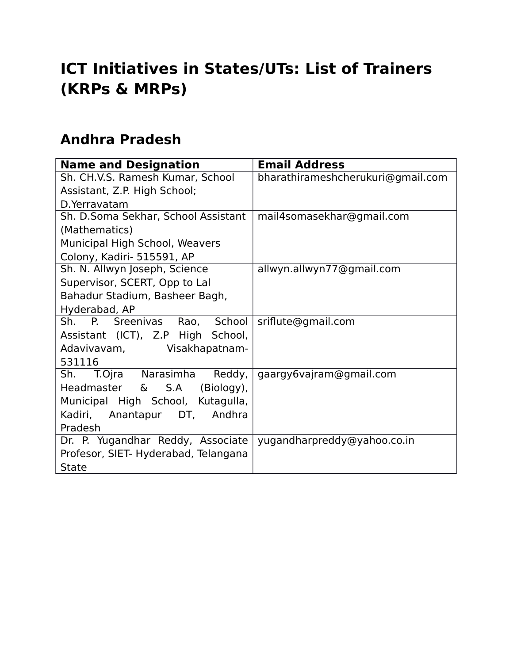# **ICT Initiatives in States/UTs: List of Trainers (KRPs & MRPs)**

#### **Andhra Pradesh**

| <b>Name and Designation</b>          | <b>Email Address</b>              |
|--------------------------------------|-----------------------------------|
| Sh. CH.V.S. Ramesh Kumar, School     | bharathirameshcherukuri@gmail.com |
| Assistant, Z.P. High School;         |                                   |
| D. Yerravatam                        |                                   |
| Sh. D.Soma Sekhar, School Assistant  | mail4somasekhar@gmail.com         |
| (Mathematics)                        |                                   |
| Municipal High School, Weavers       |                                   |
| Colony, Kadiri- 515591, AP           |                                   |
| Sh. N. Allwyn Joseph, Science        | allwyn.allwyn77@gmail.com         |
| Supervisor, SCERT, Opp to Lal        |                                   |
| Bahadur Stadium, Basheer Bagh,       |                                   |
| Hyderabad, AP                        |                                   |
| Sh. P. Sreenivas<br>Rao, School      | sriflute@gmail.com                |
| Assistant (ICT), Z.P High School,    |                                   |
| Adavivavam, Visakhapatnam-           |                                   |
| 531116                               |                                   |
| T.Ojra Narasimha<br>Reddy,<br>Sh.    | gaargy6vajram@gmail.com           |
| Headmaster<br>& S.A<br>(Biology),    |                                   |
| Municipal High School, Kutagulla,    |                                   |
| Kadiri, Anantapur DT, Andhra         |                                   |
| Pradesh                              |                                   |
| Dr. P. Yugandhar Reddy, Associate    | yugandharpreddy@yahoo.co.in       |
| Profesor, SIET- Hyderabad, Telangana |                                   |
| <b>State</b>                         |                                   |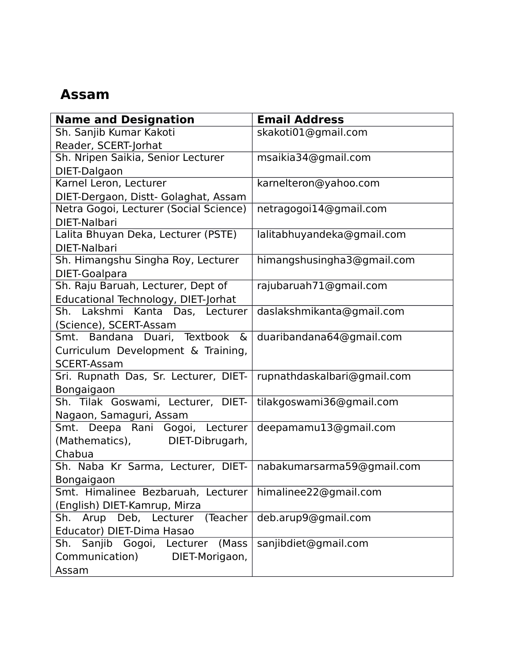#### **Assam**

| <b>Name and Designation</b>            | <b>Email Address</b>        |
|----------------------------------------|-----------------------------|
| Sh. Sanjib Kumar Kakoti                | skakoti01@gmail.com         |
| Reader, SCERT-Jorhat                   |                             |
| Sh. Nripen Saikia, Senior Lecturer     | msaikia34@gmail.com         |
| DIET-Dalgaon                           |                             |
| Karnel Leron, Lecturer                 | karnelteron@yahoo.com       |
| DIET-Dergaon, Distt- Golaghat, Assam   |                             |
| Netra Gogoi, Lecturer (Social Science) | netragogoi14@gmail.com      |
| DIET-Nalbari                           |                             |
| Lalita Bhuyan Deka, Lecturer (PSTE)    | lalitabhuyandeka@gmail.com  |
| DIET-Nalbari                           |                             |
| Sh. Himangshu Singha Roy, Lecturer     | himangshusingha3@gmail.com  |
| DIET-Goalpara                          |                             |
| Sh. Raju Baruah, Lecturer, Dept of     | rajubaruah71@gmail.com      |
| Educational Technology, DIET-Jorhat    |                             |
| Sh. Lakshmi Kanta Das, Lecturer        | daslakshmikanta@gmail.com   |
| (Science), SCERT-Assam                 |                             |
| Smt. Bandana Duari, Textbook &         | duaribandana64@gmail.com    |
| Curriculum Development & Training,     |                             |
| <b>SCERT-Assam</b>                     |                             |
| Sri. Rupnath Das, Sr. Lecturer, DIET-  | rupnathdaskalbari@gmail.com |
| Bongaigaon                             |                             |
| Sh. Tilak Goswami, Lecturer, DIET-     | tilakgoswami36@gmail.com    |
| Nagaon, Samaguri, Assam                |                             |
| Smt. Deepa Rani Gogoi, Lecturer        | deepamamu13@gmail.com       |
| (Mathematics),<br>DIET-Dibrugarh,      |                             |
| Chabua                                 |                             |
| Sh. Naba Kr Sarma, Lecturer, DIET-     | nabakumarsarma59@gmail.com  |
| Bongaigaon                             |                             |
| Smt. Himalinee Bezbaruah, Lecturer     | himalinee22@gmail.com       |
| (English) DIET-Kamrup, Mirza           |                             |
| Sh. Arup Deb, Lecturer (Teacher        | deb.arup9@gmail.com         |
| Educator) DIET-Dima Hasao              |                             |
| Sh. Sanjib Gogoi, Lecturer (Mass       | sanjibdiet@gmail.com        |
| Communication)<br>DIET-Morigaon,       |                             |
| Assam                                  |                             |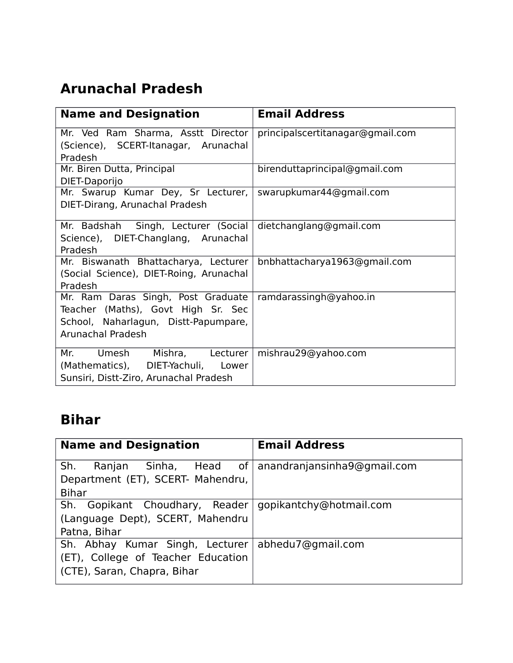## **Arunachal Pradesh**

| <b>Name and Designation</b>                                                | <b>Email Address</b>             |
|----------------------------------------------------------------------------|----------------------------------|
| Mr. Ved Ram Sharma, Asstt Director<br>(Science), SCERT-Itanagar, Arunachal | principalscertitanagar@gmail.com |
| Pradesh                                                                    |                                  |
| Mr. Biren Dutta, Principal                                                 | birenduttaprincipal@gmail.com    |
| DIET-Daporijo                                                              |                                  |
| Mr. Swarup Kumar Dey, Sr Lecturer,                                         | swarupkumar44@gmail.com          |
| DIET-Dirang, Arunachal Pradesh                                             |                                  |
| Mr. Badshah Singh, Lecturer (Social                                        | dietchanglang@gmail.com          |
| Science), DIET-Changlang, Arunachal                                        |                                  |
| Pradesh                                                                    |                                  |
| Mr. Biswanath Bhattacharya, Lecturer                                       | bnbhattacharya1963@gmail.com     |
| (Social Science), DIET-Roing, Arunachal                                    |                                  |
| Pradesh                                                                    |                                  |
| Mr. Ram Daras Singh, Post Graduate                                         | ramdarassingh@yahoo.in           |
| Teacher (Maths), Govt High Sr. Sec                                         |                                  |
| School, Naharlagun, Distt-Papumpare,                                       |                                  |
| Arunachal Pradesh                                                          |                                  |
| Mishra, Lecturer<br>Umesh<br>Mr.                                           | mishrau29@yahoo.com              |
| (Mathematics), DIET-Yachuli, Lower                                         |                                  |
| Sunsiri, Distt-Ziro, Arunachal Pradesh                                     |                                  |

## **Bihar**

| <b>Name and Designation</b>        | <b>Email Address</b>        |
|------------------------------------|-----------------------------|
| Sinha, Head of<br>Sh.<br>Ranjan    | anandranjansinha9@gmail.com |
| Department (ET), SCERT- Mahendru,  |                             |
| <b>Bihar</b>                       |                             |
| Sh. Gopikant Choudhary, Reader     | gopikantchy@hotmail.com     |
| (Language Dept), SCERT, Mahendru   |                             |
| Patna, Bihar                       |                             |
| Sh. Abhay Kumar Singh, Lecturer    | abhedu7@gmail.com           |
| (ET), College of Teacher Education |                             |
| (CTE), Saran, Chapra, Bihar        |                             |
|                                    |                             |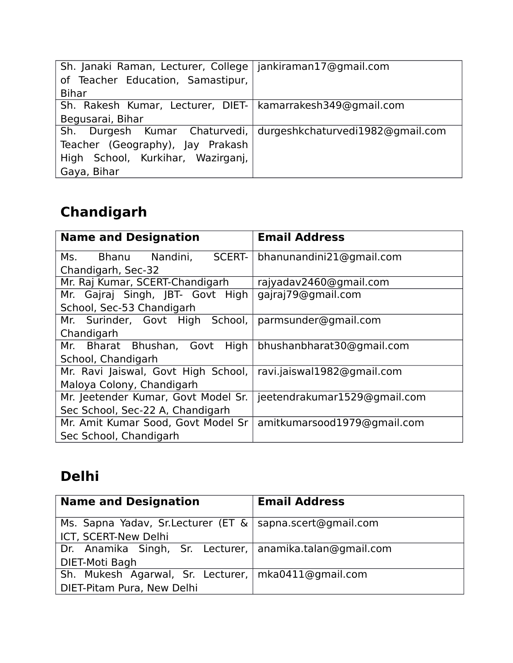| Sh. Janaki Raman, Lecturer, College   jankiraman17@gmail.com   |  |
|----------------------------------------------------------------|--|
| of Teacher Education, Samastipur,                              |  |
| <b>Bihar</b>                                                   |  |
| Sh. Rakesh Kumar, Lecturer, DIET-   kamarrakesh349@gmail.com   |  |
| Begusarai, Bihar                                               |  |
| Sh. Durgesh Kumar Chaturvedi, durgeshkchaturvedi1982@gmail.com |  |
| Teacher (Geography), Jay Prakash                               |  |
| High School, Kurkihar, Wazirganj,                              |  |
| Gaya, Bihar                                                    |  |

# **Chandigarh**

| <b>Name and Designation</b>                                                                                                                         | <b>Email Address</b>         |
|-----------------------------------------------------------------------------------------------------------------------------------------------------|------------------------------|
| <b>SCERT-</b><br>Bhanu Nandini,<br>Ms. The set of the set of the set of the set of the set of the set of the set of the set of the set of the set o | bhanunandini21@gmail.com     |
| Chandigarh, Sec-32                                                                                                                                  |                              |
| Mr. Raj Kumar, SCERT-Chandigarh                                                                                                                     | rajyadav2460@gmail.com       |
| Mr. Gajraj Singh, JBT- Govt High                                                                                                                    | gajraj79@gmail.com           |
| School, Sec-53 Chandigarh                                                                                                                           |                              |
| Mr. Surinder, Govt High School,                                                                                                                     | parmsunder@gmail.com         |
| Chandigarh                                                                                                                                          |                              |
| Mr. Bharat Bhushan, Govt High                                                                                                                       | bhushanbharat30@gmail.com    |
| School, Chandigarh                                                                                                                                  |                              |
| Mr. Ravi Jaiswal, Govt High School,                                                                                                                 | ravi.jaiswal1982@gmail.com   |
| Maloya Colony, Chandigarh                                                                                                                           |                              |
| Mr. Jeetender Kumar, Govt Model Sr.                                                                                                                 | jeetendrakumar1529@gmail.com |
| Sec School, Sec-22 A, Chandigarh                                                                                                                    |                              |
| Mr. Amit Kumar Sood, Govt Model Sr                                                                                                                  | amitkumarsood1979@gmail.com  |
| Sec School, Chandigarh                                                                                                                              |                              |

## **Delhi**

| <b>Name and Designation</b>                                 | <b>Email Address</b> |
|-------------------------------------------------------------|----------------------|
| Ms. Sapna Yadav, Sr. Lecturer (ET &   sapna.scert@gmail.com |                      |
| ICT, SCERT-New Delhi                                        |                      |
| Dr. Anamika Singh, Sr. Lecturer, anamika.talan@gmail.com    |                      |
| DIET-Moti Bagh                                              |                      |
| Sh. Mukesh Agarwal, Sr. Lecturer,   mka0411@gmail.com       |                      |
| DIET-Pitam Pura, New Delhi                                  |                      |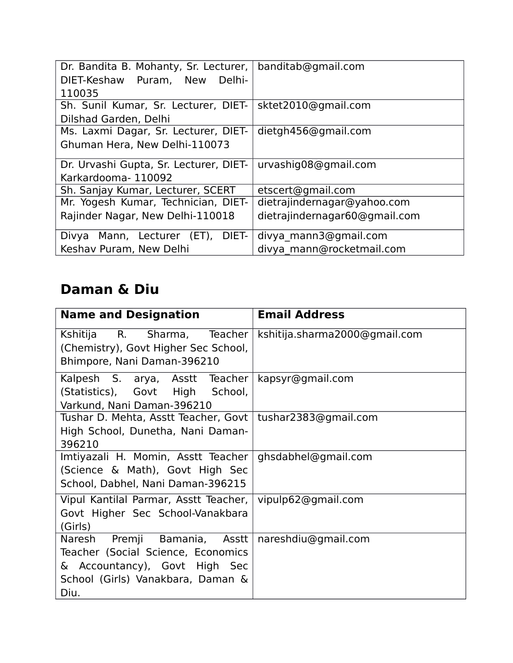| Dr. Bandita B. Mohanty, Sr. Lecturer,   banditab@gmail.com<br>DIET-Keshaw Puram, New<br>Delhi- |                               |
|------------------------------------------------------------------------------------------------|-------------------------------|
| 110035                                                                                         |                               |
| Sh. Sunil Kumar, Sr. Lecturer, DIET-                                                           | sktet2010@gmail.com           |
| Dilshad Garden, Delhi                                                                          |                               |
| Ms. Laxmi Dagar, Sr. Lecturer, DIET-                                                           | dietgh456@gmail.com           |
| Ghuman Hera, New Delhi-110073                                                                  |                               |
| Dr. Urvashi Gupta, Sr. Lecturer, DIET-                                                         | urvashig08@gmail.com          |
| Karkardooma-110092                                                                             |                               |
| Sh. Sanjay Kumar, Lecturer, SCERT                                                              | etscert@gmail.com             |
| Mr. Yogesh Kumar, Technician, DIET-                                                            | dietrajindernagar@yahoo.com   |
| Rajinder Nagar, New Delhi-110018                                                               | dietrajindernagar60@gmail.com |
| Mann, Lecturer (ET),<br>Divya<br>DIET-                                                         | divya mann3@gmail.com         |
| Keshav Puram, New Delhi                                                                        | divya mann@rocketmail.com     |

## **Daman & Diu**

| <b>Name and Designation</b>           | <b>Email Address</b>          |
|---------------------------------------|-------------------------------|
| Kshitija R.<br>Sharma, Teacher        | kshitija.sharma2000@gmail.com |
| (Chemistry), Govt Higher Sec School,  |                               |
| Bhimpore, Nani Daman-396210           |                               |
| Kalpesh S. arya, Asstt Teacher        | kapsyr@gmail.com              |
| (Statistics), Govt High School,       |                               |
| Varkund, Nani Daman-396210            |                               |
| Tushar D. Mehta, Asstt Teacher, Govt  | tushar2383@gmail.com          |
| High School, Dunetha, Nani Daman-     |                               |
| 396210                                |                               |
| Imtiyazali H. Momin, Asstt Teacher    | ghsdabhel@gmail.com           |
| (Science & Math), Govt High Sec       |                               |
| School, Dabhel, Nani Daman-396215     |                               |
| Vipul Kantilal Parmar, Asstt Teacher, | vipulp62@gmail.com            |
| Govt Higher Sec School-Vanakbara      |                               |
| (Girls)                               |                               |
| Premji Bamania,<br>Asstt<br>Naresh    | nareshdiu@gmail.com           |
| Teacher (Social Science, Economics    |                               |
| & Accountancy), Govt High Sec         |                               |
| School (Girls) Vanakbara, Daman &     |                               |
| Diu.                                  |                               |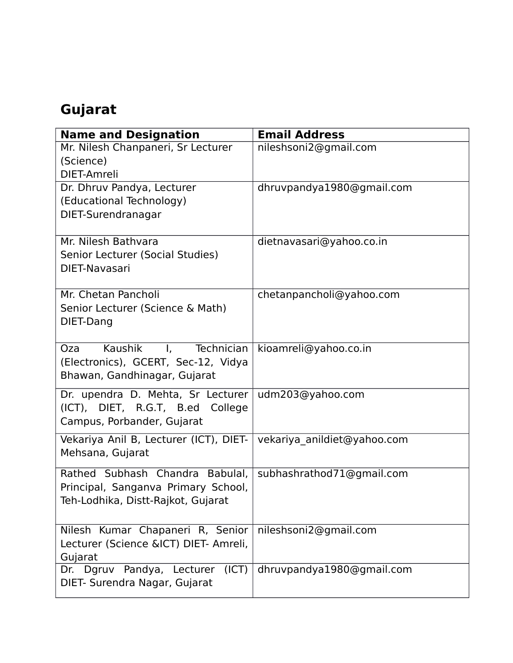# **Gujarat**

| <b>Name and Designation</b>                               | <b>Email Address</b>        |
|-----------------------------------------------------------|-----------------------------|
| Mr. Nilesh Chanpaneri, Sr Lecturer                        | nileshsoni2@gmail.com       |
| (Science)                                                 |                             |
| DIET-Amreli<br>Dr. Dhruv Pandya, Lecturer                 | dhruvpandya1980@gmail.com   |
| (Educational Technology)                                  |                             |
| DIET-Surendranagar                                        |                             |
|                                                           |                             |
| Mr. Nilesh Bathvara                                       | dietnavasari@yahoo.co.in    |
| Senior Lecturer (Social Studies)                          |                             |
| DIET-Navasari                                             |                             |
| Mr. Chetan Pancholi                                       |                             |
| Senior Lecturer (Science & Math)                          | chetanpancholi@yahoo.com    |
| DIET-Dang                                                 |                             |
|                                                           |                             |
| Kaushik<br>Technician<br>Oza<br>$\mathbf{I}_{\mathbf{r}}$ | kioamreli@yahoo.co.in       |
| (Electronics), GCERT, Sec-12, Vidya                       |                             |
| Bhawan, Gandhinagar, Gujarat                              |                             |
| Dr. upendra D. Mehta, Sr Lecturer                         | udm203@yahoo.com            |
| (ICT), DIET, R.G.T, B.ed College                          |                             |
| Campus, Porbander, Gujarat                                |                             |
| Vekariya Anil B, Lecturer (ICT), DIET-                    | vekariya anildiet@yahoo.com |
| Mehsana, Gujarat                                          |                             |
| Rathed Subhash Chandra Babulal,                           | subhashrathod71@gmail.com   |
| Principal, Sanganva Primary School,                       |                             |
| Teh-Lodhika, Distt-Rajkot, Gujarat                        |                             |
|                                                           |                             |
| Nilesh Kumar Chapaneri R, Senior                          | nileshsoni2@gmail.com       |
| Lecturer (Science &ICT) DIET- Amreli,                     |                             |
| Gujarat<br>Dr. Dgruv Pandya, Lecturer (ICT)               | dhruvpandya1980@gmail.com   |
| DIET- Surendra Nagar, Gujarat                             |                             |
|                                                           |                             |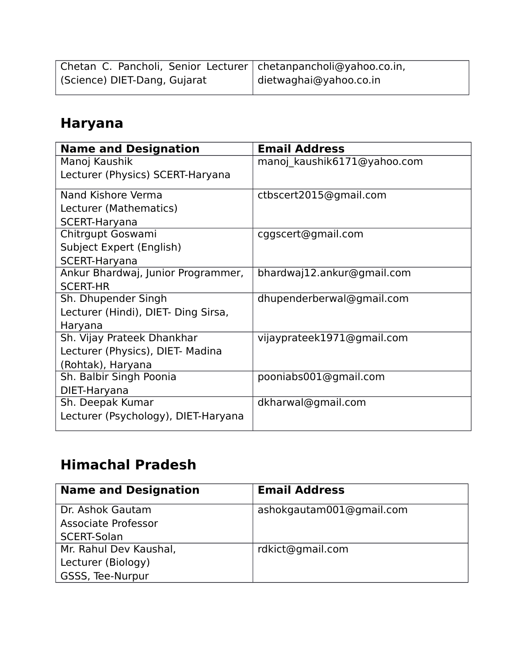| Chetan C. Pancholi, Senior Lecturer   chetanpancholi@yahoo.co.in, |                        |
|-------------------------------------------------------------------|------------------------|
| (Science) DIET-Dang, Gujarat                                      | dietwaghai@yahoo.co.in |

## **Haryana**

| <b>Name and Designation</b>         | <b>Email Address</b>        |
|-------------------------------------|-----------------------------|
| Manoj Kaushik                       | manoj kaushik6171@yahoo.com |
| Lecturer (Physics) SCERT-Haryana    |                             |
|                                     |                             |
| Nand Kishore Verma                  | ctbscert2015@gmail.com      |
| Lecturer (Mathematics)              |                             |
| <b>SCERT-Haryana</b>                |                             |
| Chitrgupt Goswami                   | cggscert@gmail.com          |
| Subject Expert (English)            |                             |
| <b>SCERT-Haryana</b>                |                             |
| Ankur Bhardwaj, Junior Programmer,  | bhardwaj12.ankur@gmail.com  |
| <b>SCERT-HR</b>                     |                             |
| Sh. Dhupender Singh                 | dhupenderberwal@gmail.com   |
| Lecturer (Hindi), DIET- Ding Sirsa, |                             |
| Haryana                             |                             |
| Sh. Vijay Prateek Dhankhar          | vijayprateek1971@gmail.com  |
| Lecturer (Physics), DIET- Madina    |                             |
| (Rohtak), Haryana                   |                             |
| Sh. Balbir Singh Poonia             | pooniabs001@gmail.com       |
| DIET-Haryana                        |                             |
| Sh. Deepak Kumar                    | dkharwal@gmail.com          |
| Lecturer (Psychology), DIET-Haryana |                             |
|                                     |                             |

# **Himachal Pradesh**

| <b>Name and Designation</b> | <b>Email Address</b>     |
|-----------------------------|--------------------------|
| Dr. Ashok Gautam            | ashokgautam001@gmail.com |
| Associate Professor         |                          |
| SCERT-Solan                 |                          |
| Mr. Rahul Dev Kaushal,      | rdkict@gmail.com         |
| Lecturer (Biology)          |                          |
| GSSS, Tee-Nurpur            |                          |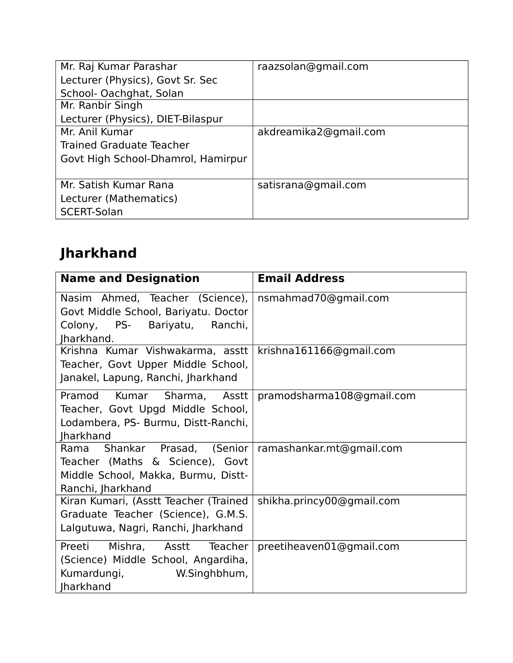| Mr. Raj Kumar Parashar             | raazsolan@gmail.com   |
|------------------------------------|-----------------------|
| Lecturer (Physics), Govt Sr. Sec   |                       |
| School- Oachghat, Solan            |                       |
| Mr. Ranbir Singh                   |                       |
| Lecturer (Physics), DIET-Bilaspur  |                       |
| Mr. Anil Kumar                     | akdreamika2@gmail.com |
| Trained Graduate Teacher           |                       |
| Govt High School-Dhamrol, Hamirpur |                       |
|                                    |                       |
| Mr. Satish Kumar Rana              | satisrana@gmail.com   |
| Lecturer (Mathematics)             |                       |
| SCERT-Solan                        |                       |
|                                    |                       |

# **Jharkhand**

| <b>Name and Designation</b>                                                                                                                         | <b>Email Address</b>      |
|-----------------------------------------------------------------------------------------------------------------------------------------------------|---------------------------|
| Nasim Ahmed, Teacher (Science),   nsmahmad70@gmail.com<br>Govt Middle School, Bariyatu. Doctor<br>Colony,<br>PS-<br>Bariyatu, Ranchi,<br>Jharkhand. |                           |
| Krishna Kumar Vishwakarma, asstt<br>Teacher, Govt Upper Middle School,<br>Janakel, Lapung, Ranchi, Jharkhand                                        | krishna161166@gmail.com   |
| Kumar<br>Sharma, Asstt<br>Pramod<br>Teacher, Govt Upgd Middle School,<br>Lodambera, PS- Burmu, Distt-Ranchi,<br><b>Iharkhand</b>                    | pramodsharma108@gmail.com |
| Shankar Prasad, (Senior<br>Rama<br>Teacher (Maths & Science), Govt<br>Middle School, Makka, Burmu, Distt-<br>Ranchi, Jharkhand                      | ramashankar.mt@gmail.com  |
| Kiran Kumari, (Asstt Teacher (Trained<br>Graduate Teacher (Science), G.M.S.<br>Lalgutuwa, Nagri, Ranchi, Jharkhand                                  | shikha.princy00@gmail.com |
| Mishra, Asstt<br>Preeti<br>Teacher<br>(Science) Middle School, Angardiha,<br>Kumardungi,<br>W.Singhbhum,<br><b>Jharkhand</b>                        | preetiheaven01@gmail.com  |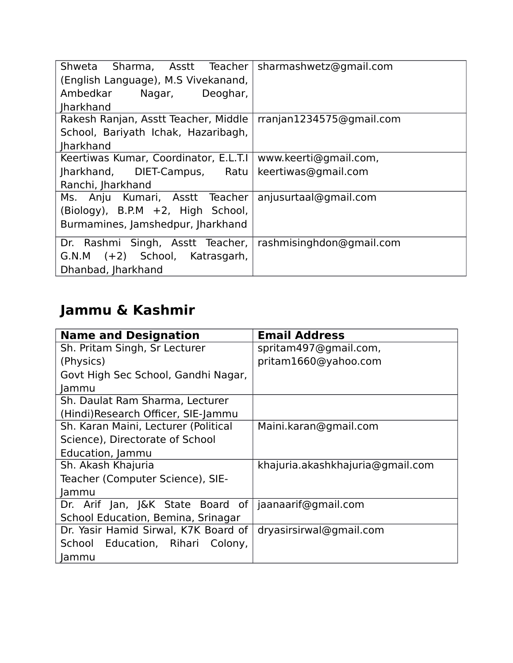| Shweta Sharma, Asstt Teacher   sharmashwetz@gmail.com<br>(English Language), M.S Vivekanand,<br>Ambedkar<br>Nagar, Deoghar, |                          |
|-----------------------------------------------------------------------------------------------------------------------------|--------------------------|
| <b>Iharkhand</b>                                                                                                            |                          |
| Rakesh Ranjan, Asstt Teacher, Middle<br>School, Bariyath Ichak, Hazaribagh,<br><b>Iharkhand</b>                             | rranjan1234575@gmail.com |
| Keertiwas Kumar, Coordinator, E.L.T.I                                                                                       | www.keerti@gmail.com,    |
| Jharkhand, DIET-Campus, Ratu                                                                                                | keertiwas@gmail.com      |
| Ranchi, Jharkhand                                                                                                           |                          |
| Ms. Anju Kumari, Asstt Teacher<br>(Biology), B.P.M +2, High School,<br>Burmamines, Jamshedpur, Jharkhand                    | anjusurtaal@gmail.com    |
| Dr. Rashmi Singh, Asstt Teacher,<br>G.N.M (+2) School, Katrasgarh,<br>Dhanbad, Jharkhand                                    | rashmisinghdon@gmail.com |

# **Jammu & Kashmir**

| <b>Name and Designation</b>          | <b>Email Address</b>             |
|--------------------------------------|----------------------------------|
| Sh. Pritam Singh, Sr Lecturer        | spritam497@gmail.com,            |
| (Physics)                            | pritam1660@yahoo.com             |
| Govt High Sec School, Gandhi Nagar,  |                                  |
| Jammu                                |                                  |
| Sh. Daulat Ram Sharma, Lecturer      |                                  |
| (Hindi)Research Officer, SIE-Jammu   |                                  |
| Sh. Karan Maini, Lecturer (Political | Maini.karan@gmail.com            |
| Science), Directorate of School      |                                  |
| Education, Jammu                     |                                  |
| Sh. Akash Khajuria                   | khajuria.akashkhajuria@gmail.com |
| Teacher (Computer Science), SIE-     |                                  |
| Jammu                                |                                  |
| Dr. Arif Jan, J&K State Board of     | jaanaarif@gmail.com              |
| School Education, Bemina, Srinagar   |                                  |
| Dr. Yasir Hamid Sirwal, K7K Board of | dryasirsirwal@gmail.com          |
| School Education, Rihari Colony,     |                                  |
| Jammu                                |                                  |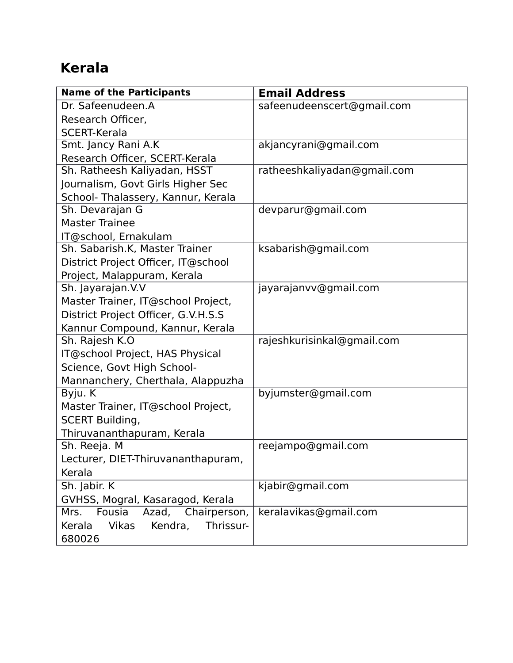## **Kerala**

| <b>Name of the Participants</b>         | <b>Email Address</b>        |
|-----------------------------------------|-----------------------------|
| Dr. Safeenudeen.A                       | safeenudeenscert@gmail.com  |
| Research Officer,                       |                             |
| <b>SCERT-Kerala</b>                     |                             |
| Smt. Jancy Rani A.K                     | akjancyrani@gmail.com       |
| Research Officer, SCERT-Kerala          |                             |
| Sh. Ratheesh Kaliyadan, HSST            | ratheeshkaliyadan@gmail.com |
| Journalism, Govt Girls Higher Sec       |                             |
| School- Thalassery, Kannur, Kerala      |                             |
| Sh. Devarajan G                         | devparur@gmail.com          |
| <b>Master Trainee</b>                   |                             |
| IT@school, Ernakulam                    |                             |
| Sh. Sabarish.K, Master Trainer          | ksabarish@gmail.com         |
| District Project Officer, IT@school     |                             |
| Project, Malappuram, Kerala             |                             |
| Sh. Jayarajan. V.V                      | jayarajanvv@gmail.com       |
| Master Trainer, IT@school Project,      |                             |
| District Project Officer, G.V.H.S.S     |                             |
| Kannur Compound, Kannur, Kerala         |                             |
| Sh. Rajesh K.O                          | rajeshkurisinkal@gmail.com  |
| IT@school Project, HAS Physical         |                             |
| Science, Govt High School-              |                             |
| Mannanchery, Cherthala, Alappuzha       |                             |
| Byju. K                                 | byjumster@gmail.com         |
| Master Trainer, IT@school Project,      |                             |
| <b>SCERT Building,</b>                  |                             |
| Thiruvananthapuram, Kerala              |                             |
| Sh. Reeja. M                            | reejampo@gmail.com          |
| Lecturer, DIET-Thiruvananthapuram,      |                             |
| Kerala                                  |                             |
| Sh. Jabir. K                            | kjabir@gmail.com            |
| GVHSS, Mogral, Kasaragod, Kerala        |                             |
| Mrs.<br>Fousia<br>Azad, Chairperson,    | keralavikas@gmail.com       |
| Vikas<br>Thrissur-<br>Kerala<br>Kendra, |                             |
| 680026                                  |                             |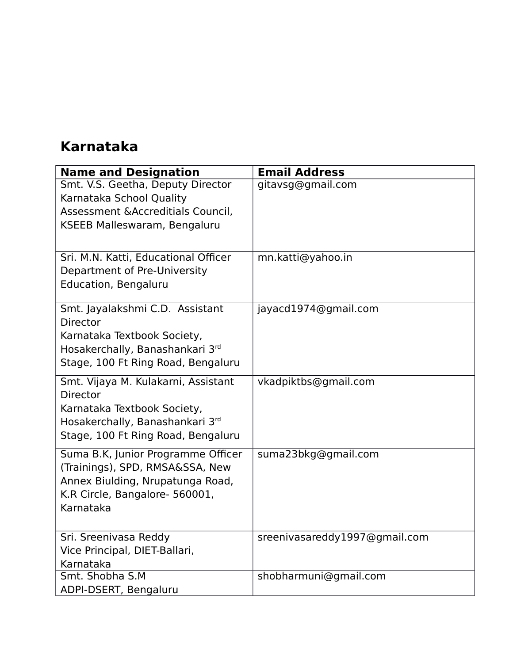#### **Karnataka**

| <b>Name and Designation</b>                                                                                                                                    | <b>Email Address</b>          |
|----------------------------------------------------------------------------------------------------------------------------------------------------------------|-------------------------------|
| Smt. V.S. Geetha, Deputy Director<br>Karnataka School Quality<br>Assessment & Accreditials Council,<br>KSEEB Malleswaram, Bengaluru                            | gitavsg@gmail.com             |
| Sri. M.N. Katti, Educational Officer<br>Department of Pre-University<br><b>Education, Bengaluru</b>                                                            | mn.katti@yahoo.in             |
| Smt. Jayalakshmi C.D. Assistant<br><b>Director</b><br>Karnataka Textbook Society,<br>Hosakerchally, Banashankari 3rd<br>Stage, 100 Ft Ring Road, Bengaluru     | jayacd1974@gmail.com          |
| Smt. Vijaya M. Kulakarni, Assistant<br><b>Director</b><br>Karnataka Textbook Society,<br>Hosakerchally, Banashankari 3rd<br>Stage, 100 Ft Ring Road, Bengaluru | vkadpiktbs@gmail.com          |
| Suma B.K, Junior Programme Officer<br>(Trainings), SPD, RMSA&SSA, New<br>Annex Biulding, Nrupatunga Road,<br>K.R Circle, Bangalore- 560001,<br>Karnataka       | suma23bkg@gmail.com           |
| Sri. Sreenivasa Reddy<br>Vice Principal, DIET-Ballari,<br>Karnataka                                                                                            | sreenivasareddy1997@gmail.com |
| Smt. Shobha S.M<br>ADPI-DSERT, Bengaluru                                                                                                                       | shobharmuni@gmail.com         |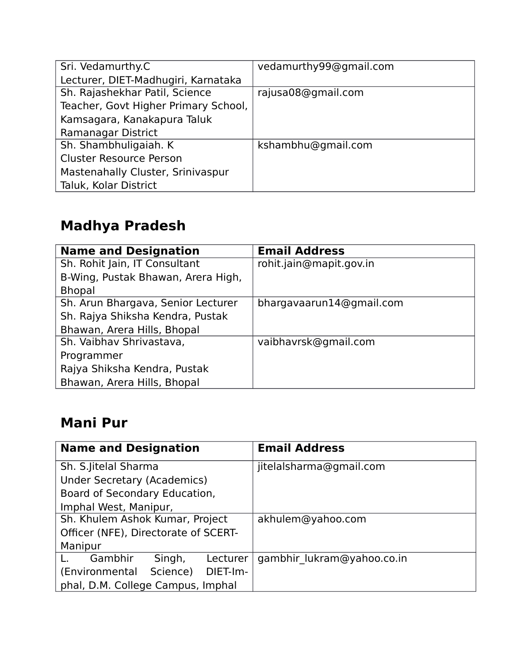| Sri. Vedamurthy.C                    | vedamurthy99@gmail.com |
|--------------------------------------|------------------------|
| Lecturer, DIET-Madhugiri, Karnataka  |                        |
| Sh. Rajashekhar Patil, Science       | rajusa08@gmail.com     |
| Teacher, Govt Higher Primary School, |                        |
| Kamsagara, Kanakapura Taluk          |                        |
| Ramanagar District                   |                        |
| Sh. Shambhuligaiah. K                | kshambhu@gmail.com     |
| <b>Cluster Resource Person</b>       |                        |
| Mastenahally Cluster, Srinivaspur    |                        |
| Taluk, Kolar District                |                        |
|                                      |                        |

# **Madhya Pradesh**

| <b>Name and Designation</b>        | <b>Email Address</b>     |
|------------------------------------|--------------------------|
| Sh. Rohit Jain, IT Consultant      | rohit.jain@mapit.gov.in  |
| B-Wing, Pustak Bhawan, Arera High, |                          |
| <b>Bhopal</b>                      |                          |
| Sh. Arun Bhargava, Senior Lecturer | bhargavaarun14@gmail.com |
| Sh. Rajya Shiksha Kendra, Pustak   |                          |
| Bhawan, Arera Hills, Bhopal        |                          |
| Sh. Vaibhav Shrivastava,           | vaibhavrsk@gmail.com     |
| Programmer                         |                          |
| Rajya Shiksha Kendra, Pustak       |                          |
| Bhawan, Arera Hills, Bhopal        |                          |

#### **Mani Pur**

| <b>Name and Designation</b>            | <b>Email Address</b>       |
|----------------------------------------|----------------------------|
| Sh. S. Jitelal Sharma                  | jitelalsharma@gmail.com    |
| Under Secretary (Academics)            |                            |
| Board of Secondary Education,          |                            |
| Imphal West, Manipur,                  |                            |
| Sh. Khulem Ashok Kumar, Project        | akhulem@yahoo.com          |
| Officer (NFE), Directorate of SCERT-   |                            |
| Manipur                                |                            |
| Gambhir<br>Singh,<br>Lecturer          | gambhir lukram@yahoo.co.in |
| Science)<br>DIET-Im-<br>(Environmental |                            |
| phal, D.M. College Campus, Imphal      |                            |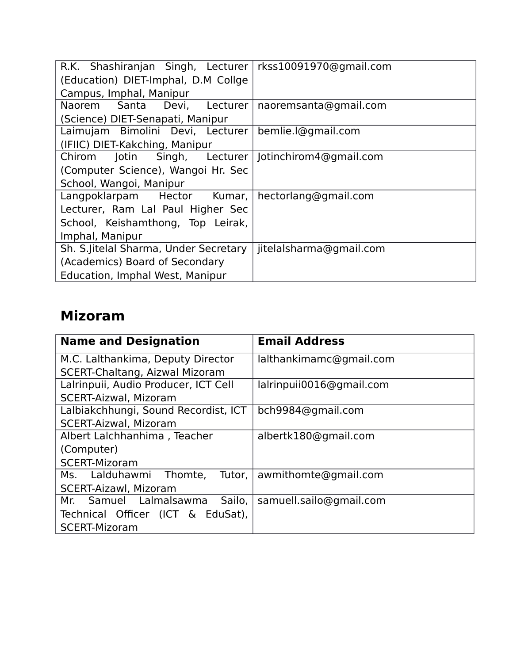| R.K. Shashiranjan Singh, Lecturer   rkss10091970@gmail.com |                         |
|------------------------------------------------------------|-------------------------|
| (Education) DIET-Imphal, D.M Collge                        |                         |
| Campus, Imphal, Manipur                                    |                         |
| Naorem Santa Devi, Lecturer                                | naoremsanta@gmail.com   |
| (Science) DIET-Senapati, Manipur                           |                         |
| Laimujam Bimolini Devi, Lecturer                           | bemlie.l@gmail.com      |
| (IFIIC) DIET-Kakching, Manipur                             |                         |
| Chirom Jotin Singh, Lecturer   Jotinchirom4@gmail.com      |                         |
| (Computer Science), Wangoi Hr. Sec                         |                         |
| School, Wangoi, Manipur                                    |                         |
| Langpoklarpam Hector Kumar, hectorlang@gmail.com           |                         |
| Lecturer, Ram Lal Paul Higher Sec                          |                         |
| School, Keishamthong, Top Leirak,                          |                         |
| Imphal, Manipur                                            |                         |
| Sh. S. Jitelal Sharma, Under Secretary                     | jitelalsharma@gmail.com |
| (Academics) Board of Secondary                             |                         |
| Education, Imphal West, Manipur                            |                         |

#### **Mizoram**

| <b>Name and Designation</b>           | <b>Email Address</b>     |
|---------------------------------------|--------------------------|
| M.C. Lalthankima, Deputy Director     | lalthankimamc@gmail.com  |
| <b>SCERT-Chaltang, Aizwal Mizoram</b> |                          |
| Lalrinpuii, Audio Producer, ICT Cell  | lalrinpuii0016@gmail.com |
| <b>SCERT-Aizwal, Mizoram</b>          |                          |
| Lalbiakchhungi, Sound Recordist, ICT  | bch9984@gmail.com        |
| <b>SCERT-Aizwal, Mizoram</b>          |                          |
| Albert Lalchhanhima, Teacher          | albertk180@gmail.com     |
| (Computer)                            |                          |
| <b>SCERT-Mizoram</b>                  |                          |
| Ms. Lalduhawmi Thomte,<br>Tutor,      | awmithomte@gmail.com     |
| <b>SCERT-Aizawl, Mizoram</b>          |                          |
| Mr. Samuel Lalmalsawma Sailo,         | samuell.sailo@gmail.com  |
| Technical Officer (ICT & EduSat),     |                          |
| <b>SCERT-Mizoram</b>                  |                          |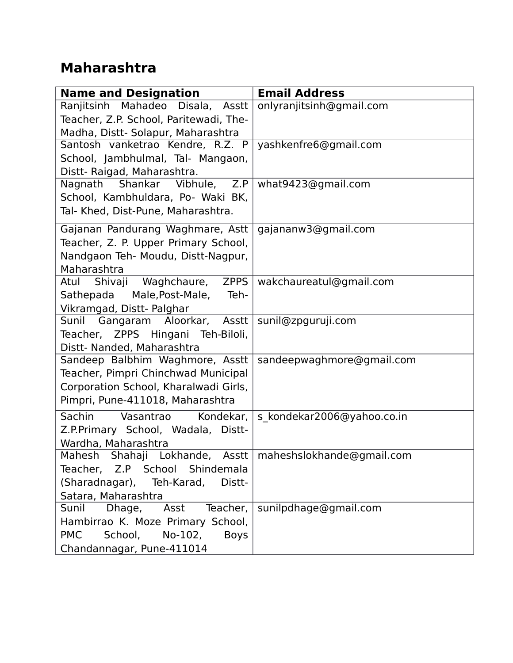#### **Maharashtra**

| <b>Name and Designation</b>                     | <b>Email Address</b>       |
|-------------------------------------------------|----------------------------|
| Ranjitsinh Mahadeo<br>Disala,<br>Asstt          | onlyranjitsinh@gmail.com   |
| Teacher, Z.P. School, Paritewadi, The-          |                            |
| Madha, Distt- Solapur, Maharashtra              |                            |
| Santosh vanketrao Kendre, R.Z. P                | yashkenfre6@gmail.com      |
| School, Jambhulmal, Tal- Mangaon,               |                            |
| Distt- Raigad, Maharashtra.                     |                            |
| Shankar Vibhule, Z.P<br>Nagnath                 | what9423@gmail.com         |
| School, Kambhuldara, Po- Waki BK,               |                            |
| Tal- Khed, Dist-Pune, Maharashtra.              |                            |
| Gajanan Pandurang Waghmare, Astt                | gajananw3@gmail.com        |
| Teacher, Z. P. Upper Primary School,            |                            |
| Nandgaon Teh- Moudu, Distt-Nagpur,              |                            |
| Maharashtra                                     |                            |
| Waghchaure, ZPPS<br>Atul Shivaji                | wakchaureatul@gmail.com    |
| Male, Post-Male,<br>Sathepada<br>Teh-           |                            |
| Vikramgad, Distt- Palghar                       |                            |
| Sunil Gangaram Aloorkar, Asstt                  | sunil@zpguruji.com         |
| Teacher, ZPPS Hingani Teh-Biloli,               |                            |
| Distt- Nanded, Maharashtra                      |                            |
| Sandeep Balbhim Waghmore, Asstt                 | sandeepwaghmore@gmail.com  |
| Teacher, Pimpri Chinchwad Municipal             |                            |
| Corporation School, Kharalwadi Girls,           |                            |
| Pimpri, Pune-411018, Maharashtra                |                            |
| Sachin<br>Vasantrao<br>Kondekar,                | s kondekar2006@yahoo.co.in |
| Z.P.Primary School, Wadala, Distt-              |                            |
| Wardha, Maharashtra                             |                            |
| Shahaji Lokhande,<br>Asstt  <br>Mahesh          | maheshslokhande@gmail.com  |
| Teacher, Z.P School Shindemala                  |                            |
| (Sharadnagar), Teh-Karad,<br>Distt-             |                            |
| Satara, Maharashtra                             |                            |
| Sunil<br>Asst<br>Teacher,<br>Dhage,             | sunilpdhage@gmail.com      |
| Hambirrao K. Moze Primary School,               |                            |
| <b>PMC</b><br>No-102,<br>School,<br><b>Boys</b> |                            |
| Chandannagar, Pune-411014                       |                            |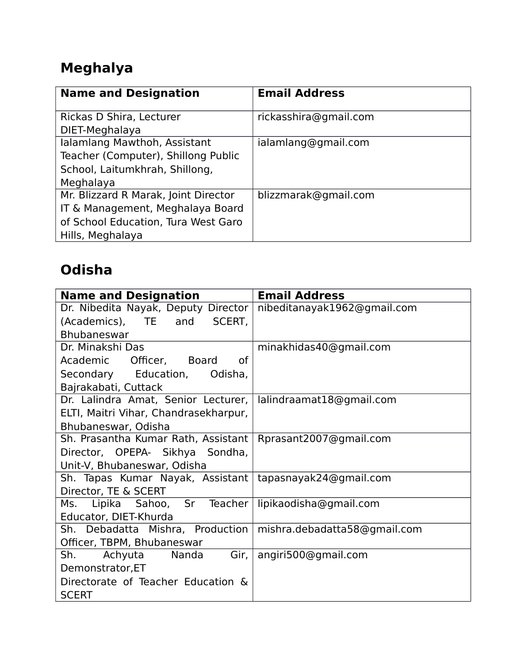# **Meghalya**

| <b>Name and Designation</b>          | <b>Email Address</b>  |
|--------------------------------------|-----------------------|
| Rickas D Shira, Lecturer             | rickasshira@gmail.com |
| DIET-Meghalaya                       |                       |
| Ialamlang Mawthoh, Assistant         | ialamlang@gmail.com   |
| Teacher (Computer), Shillong Public  |                       |
| School, Laitumkhrah, Shillong,       |                       |
| Meghalaya                            |                       |
| Mr. Blizzard R Marak, Joint Director | blizzmarak@gmail.com  |
| IT & Management, Meghalaya Board     |                       |
| of School Education, Tura West Garo  |                       |
| Hills, Meghalaya                     |                       |

## **Odisha**

| <b>Name and Designation</b>                                     | <b>Email Address</b>        |
|-----------------------------------------------------------------|-----------------------------|
| Dr. Nibedita Nayak, Deputy Director                             | nibeditanayak1962@gmail.com |
| (Academics), TE and<br>SCERT,                                   |                             |
| Bhubaneswar                                                     |                             |
| Dr. Minakshi Das                                                | minakhidas40@gmail.com      |
| Academic Officer, Board<br>0f                                   |                             |
| Secondary Education,<br>Odisha,                                 |                             |
| Bajrakabati, Cuttack                                            |                             |
| Dr. Lalindra Amat, Senior Lecturer,                             | lalindraamat18@gmail.com    |
| ELTI, Maitri Vihar, Chandrasekharpur,                           |                             |
| Bhubaneswar, Odisha                                             |                             |
| Sh. Prasantha Kumar Rath, Assistant                             | Rprasant2007@gmail.com      |
| Director, OPEPA- Sikhya Sondha,                                 |                             |
| Unit-V, Bhubaneswar, Odisha                                     |                             |
| Sh. Tapas Kumar Nayak, Assistant   tapasnayak24@gmail.com       |                             |
| Director, TE & SCERT                                            |                             |
| Ms. Lipika Sahoo, Sr Teacher lipikaodisha@gmail.com             |                             |
| Educator, DIET-Khurda                                           |                             |
| Sh. Debadatta Mishra, Production   mishra.debadatta58@gmail.com |                             |
| Officer, TBPM, Bhubaneswar                                      |                             |
| Sh. Achyuta Nanda<br>Gir,                                       | angiri500@gmail.com         |
| Demonstrator, ET                                                |                             |
| Directorate of Teacher Education &                              |                             |
| <b>SCERT</b>                                                    |                             |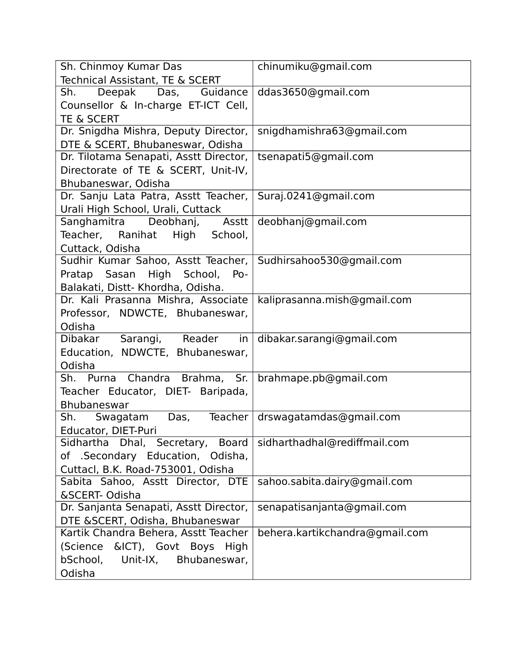| Sh. Chinmoy Kumar Das                  | chinumiku@gmail.com            |
|----------------------------------------|--------------------------------|
| Technical Assistant, TE & SCERT        |                                |
| Deepak Das, Guidance<br>Sh.            | ddas3650@gmail.com             |
| Counsellor & In-charge ET-ICT Cell,    |                                |
| <b>TE &amp; SCERT</b>                  |                                |
| Dr. Snigdha Mishra, Deputy Director,   | snigdhamishra63@gmail.com      |
| DTE & SCERT, Bhubaneswar, Odisha       |                                |
| Dr. Tilotama Senapati, Asstt Director, | tsenapati5@gmail.com           |
| Directorate of TE & SCERT, Unit-IV,    |                                |
| Bhubaneswar, Odisha                    |                                |
| Dr. Sanju Lata Patra, Asstt Teacher,   | Suraj.0241@gmail.com           |
| Urali High School, Urali, Cuttack      |                                |
| Sanghamitra Deobhanj, Asstt            | deobhanj@gmail.com             |
| Teacher, Ranihat High School,          |                                |
| Cuttack, Odisha                        |                                |
| Sudhir Kumar Sahoo, Asstt Teacher,     | Sudhirsahoo530@gmail.com       |
| Pratap Sasan High School,<br>Po-       |                                |
| Balakati, Distt- Khordha, Odisha.      |                                |
| Dr. Kali Prasanna Mishra, Associate    | kaliprasanna.mish@gmail.com    |
| Professor, NDWCTE, Bhubaneswar,        |                                |
| Odisha                                 |                                |
| Dibakar Sarangi, Reader<br>in          | dibakar.sarangi@gmail.com      |
| Education, NDWCTE, Bhubaneswar,        |                                |
| Odisha                                 |                                |
| Sh. Purna Chandra Brahma, Sr.          | brahmape.pb@gmail.com          |
| Teacher Educator, DIET- Baripada,      |                                |
| <b>Bhubaneswar</b>                     |                                |
| Teacher<br>Sh. Swagatam<br>Das,        | drswagatamdas@gmail.com        |
| Educator, DIET-Puri                    |                                |
| Sidhartha Dhal, Secretary, Board       | sidharthadhal@rediffmail.com   |
| of .Secondary Education, Odisha,       |                                |
| Cuttacl, B.K. Road-753001, Odisha      |                                |
| Sabita Sahoo, Asstt Director, DTE      | sahoo.sabita.dairy@gmail.com   |
| &SCERT-Odisha                          |                                |
| Dr. Sanjanta Senapati, Asstt Director, | senapatisanjanta@gmail.com     |
| DTE &SCERT, Odisha, Bhubaneswar        |                                |
| Kartik Chandra Behera, Asstt Teacher   | behera.kartikchandra@gmail.com |
| &ICT), Govt Boys<br>(Science<br>High   |                                |
| bSchool,<br>Unit-IX, Bhubaneswar,      |                                |
| Odisha                                 |                                |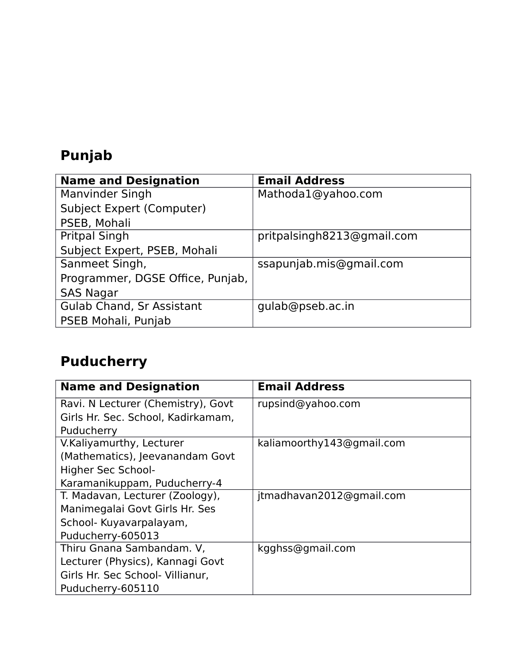# **Punjab**

| <b>Name and Designation</b>      | <b>Email Address</b>       |
|----------------------------------|----------------------------|
| <b>Manvinder Singh</b>           | Mathoda1@yahoo.com         |
| <b>Subject Expert (Computer)</b> |                            |
| PSEB, Mohali                     |                            |
| <b>Pritpal Singh</b>             | pritpalsingh8213@gmail.com |
| Subject Expert, PSEB, Mohali     |                            |
| Sanmeet Singh,                   | ssapunjab.mis@gmail.com    |
| Programmer, DGSE Office, Punjab, |                            |
| <b>SAS Nagar</b>                 |                            |
| <b>Gulab Chand, Sr Assistant</b> | gulab@pseb.ac.in           |
| PSEB Mohali, Punjab              |                            |

# **Puducherry**

| <b>Name and Designation</b>        | <b>Email Address</b>      |
|------------------------------------|---------------------------|
| Ravi. N Lecturer (Chemistry), Govt | rupsind@yahoo.com         |
| Girls Hr. Sec. School, Kadirkamam, |                           |
| Puducherry                         |                           |
| V.Kaliyamurthy, Lecturer           | kaliamoorthy143@gmail.com |
| (Mathematics), Jeevanandam Govt    |                           |
| Higher Sec School-                 |                           |
| Karamanikuppam, Puducherry-4       |                           |
| T. Madavan, Lecturer (Zoology),    | jtmadhavan2012@gmail.com  |
| Manimegalai Govt Girls Hr. Ses     |                           |
| School- Kuyavarpalayam,            |                           |
| Puducherry-605013                  |                           |
| Thiru Gnana Sambandam. V,          | kgghss@gmail.com          |
| Lecturer (Physics), Kannagi Govt   |                           |
| Girls Hr. Sec School- Villianur,   |                           |
| Puducherry-605110                  |                           |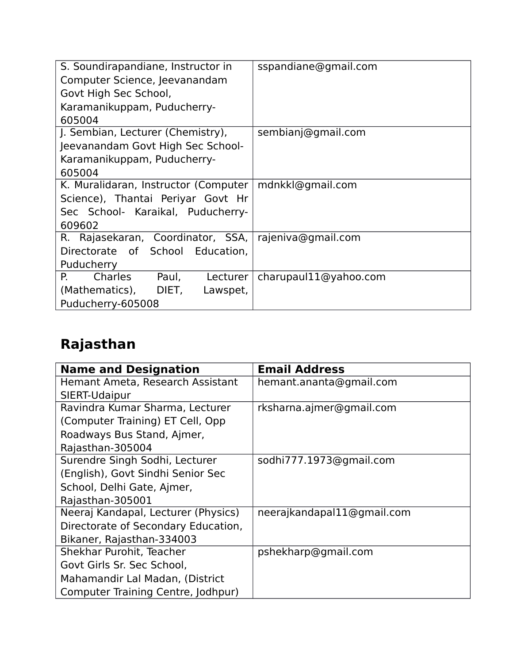| S. Soundirapandiane, Instructor in        | sspandiane@gmail.com  |
|-------------------------------------------|-----------------------|
| Computer Science, Jeevanandam             |                       |
| Govt High Sec School,                     |                       |
| Karamanikuppam, Puducherry-               |                       |
| 605004                                    |                       |
| J. Sembian, Lecturer (Chemistry),         | sembianj@gmail.com    |
| Jeevanandam Govt High Sec School-         |                       |
| Karamanikuppam, Puducherry-               |                       |
| 605004                                    |                       |
| K. Muralidaran, Instructor (Computer      | mdnkkl@gmail.com      |
| Science), Thantai Periyar Govt Hr         |                       |
| Sec School- Karaikal, Puducherry-         |                       |
| 609602                                    |                       |
| R. Rajasekaran, Coordinator, SSA,         | rajeniva@gmail.com    |
| Directorate of School Education,          |                       |
| Puducherry                                |                       |
| <b>Charles</b><br>Paul,<br>Р.<br>Lecturer | charupaul11@yahoo.com |
| (Mathematics),<br>DIET,<br>Lawspet,       |                       |
| Puducherry-605008                         |                       |

# **Rajasthan**

| <b>Name and Designation</b>         | <b>Email Address</b>       |
|-------------------------------------|----------------------------|
| Hemant Ameta, Research Assistant    | hemant.ananta@gmail.com    |
| SIERT-Udaipur                       |                            |
| Ravindra Kumar Sharma, Lecturer     | rksharna.ajmer@gmail.com   |
| (Computer Training) ET Cell, Opp    |                            |
| Roadways Bus Stand, Ajmer,          |                            |
| Rajasthan-305004                    |                            |
| Surendre Singh Sodhi, Lecturer      | sodhi777.1973@gmail.com    |
| (English), Govt Sindhi Senior Sec   |                            |
| School, Delhi Gate, Ajmer,          |                            |
| Rajasthan-305001                    |                            |
| Neeraj Kandapal, Lecturer (Physics) | neerajkandapal11@gmail.com |
| Directorate of Secondary Education, |                            |
| Bikaner, Rajasthan-334003           |                            |
| Shekhar Purohit, Teacher            | pshekharp@gmail.com        |
| Govt Girls Sr. Sec School,          |                            |
| Mahamandir Lal Madan, (District     |                            |
| Computer Training Centre, Jodhpur)  |                            |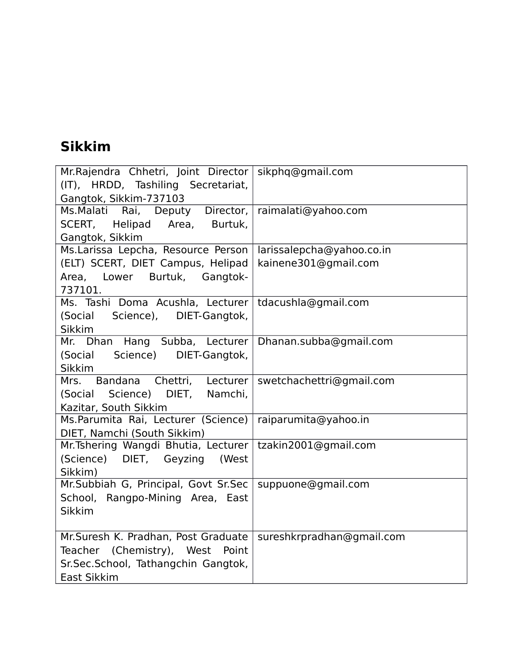#### **Sikkim**

| Mr. Rajendra Chhetri, Joint Director   sikphq@gmail.com   |                           |
|-----------------------------------------------------------|---------------------------|
| (IT), HRDD, Tashiling Secretariat,                        |                           |
| Gangtok, Sikkim-737103                                    |                           |
| Ms. Malati Rai, Deputy Director,                          | raimalati@yahoo.com       |
| SCERT, Helipad Area,<br>Burtuk,                           |                           |
| Gangtok, Sikkim                                           |                           |
| Ms.Larissa Lepcha, Resource Person                        | larissalepcha@yahoo.co.in |
| (ELT) SCERT, DIET Campus, Helipad                         | kainene301@gmail.com      |
| Area, Lower Burtuk, Gangtok-                              |                           |
| 737101.                                                   |                           |
| Ms. Tashi Doma Acushla, Lecturer   tdacushla@gmail.com    |                           |
| (Social Science), DIET-Gangtok,                           |                           |
| <b>Sikkim</b>                                             |                           |
| Mr. Dhan Hang Subba, Lecturer Dhanan.subba@gmail.com      |                           |
| (Social Science)<br>DIET-Gangtok,                         |                           |
| <b>Sikkim</b>                                             |                           |
| Mrs. Bandana Chettri, Lecturer   swetchachettri@gmail.com |                           |
| (Social Science) DIET, Namchi,                            |                           |
| Kazitar, South Sikkim                                     |                           |
| Ms.Parumita Rai, Lecturer (Science)                       | raiparumita@yahoo.in      |
| DIET, Namchi (South Sikkim)                               |                           |
| Mr. Tshering Wangdi Bhutia, Lecturer                      | tzakin2001@gmail.com      |
| (Science) DIET, Geyzing<br>(West                          |                           |
| Sikkim)                                                   |                           |
| Mr.Subbiah G, Principal, Govt Sr.Sec                      | suppuone@gmail.com        |
| School, Rangpo-Mining Area, East                          |                           |
| <b>Sikkim</b>                                             |                           |
|                                                           |                           |
| Mr. Suresh K. Pradhan, Post Graduate                      | sureshkrpradhan@gmail.com |
| Teacher (Chemistry), West Point                           |                           |
| Sr.Sec.School, Tathangchin Gangtok,                       |                           |
| East Sikkim                                               |                           |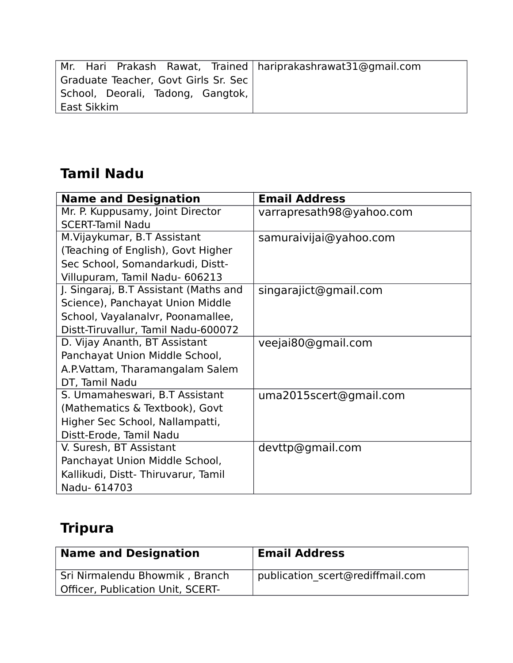| Mr. Hari Prakash Rawat, Trained   hariprakashrawat31@gmail.com |  |
|----------------------------------------------------------------|--|
| Graduate Teacher, Govt Girls Sr. Sec                           |  |
| School, Deorali, Tadong, Gangtok,                              |  |
| East Sikkim                                                    |  |

#### **Tamil Nadu**

| <b>Name and Designation</b>           | <b>Email Address</b>     |
|---------------------------------------|--------------------------|
| Mr. P. Kuppusamy, Joint Director      | varrapresath98@yahoo.com |
| <b>SCERT-Tamil Nadu</b>               |                          |
| M. Vijaykumar, B.T Assistant          | samuraivijai@yahoo.com   |
| (Teaching of English), Govt Higher    |                          |
| Sec School, Somandarkudi, Distt-      |                          |
| Villupuram, Tamil Nadu- 606213        |                          |
| J. Singaraj, B.T Assistant (Maths and | singarajict@gmail.com    |
| Science), Panchayat Union Middle      |                          |
| School, Vayalanalvr, Poonamallee,     |                          |
| Distt-Tiruvallur, Tamil Nadu-600072   |                          |
| D. Vijay Ananth, BT Assistant         | veejai80@gmail.com       |
| Panchayat Union Middle School,        |                          |
| A.P. Vattam, Tharamangalam Salem      |                          |
| DT, Tamil Nadu                        |                          |
| S. Umamaheswari, B.T Assistant        | uma2015scert@gmail.com   |
| (Mathematics & Textbook), Govt        |                          |
| Higher Sec School, Nallampatti,       |                          |
| Distt-Erode, Tamil Nadu               |                          |
| V. Suresh, BT Assistant               | devttp@gmail.com         |
| Panchayat Union Middle School,        |                          |
| Kallikudi, Distt-Thiruvarur, Tamil    |                          |
| Nadu- 614703                          |                          |

# **Tripura**

| <b>Name and Designation</b>              | <b>Email Address</b>             |
|------------------------------------------|----------------------------------|
| Sri Nirmalendu Bhowmik, Branch           | publication scert@rediffmail.com |
| <b>Officer, Publication Unit, SCERT-</b> |                                  |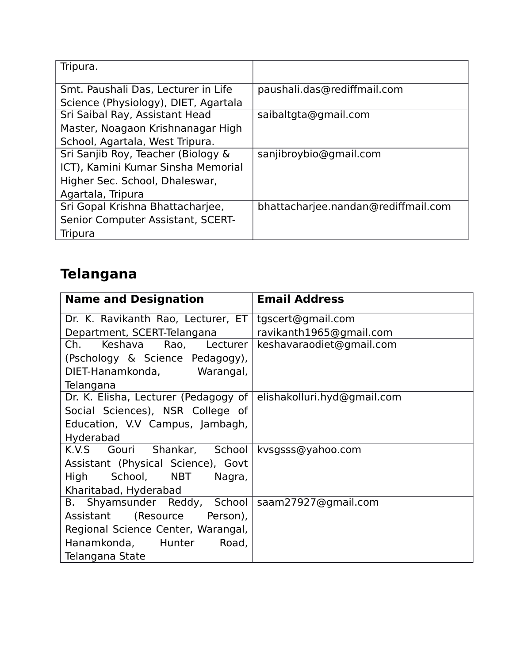| Tripura.                             |                                     |
|--------------------------------------|-------------------------------------|
| Smt. Paushali Das, Lecturer in Life  | paushali.das@rediffmail.com         |
| Science (Physiology), DIET, Agartala |                                     |
| Sri Saibal Ray, Assistant Head       | saibaltgta@gmail.com                |
| Master, Noagaon Krishnanagar High    |                                     |
| School, Agartala, West Tripura.      |                                     |
| Sri Sanjib Roy, Teacher (Biology &   | sanjibroybio@gmail.com              |
| ICT), Kamini Kumar Sinsha Memorial   |                                     |
| Higher Sec. School, Dhaleswar,       |                                     |
| Agartala, Tripura                    |                                     |
| Sri Gopal Krishna Bhattacharjee,     | bhattacharjee.nandan@rediffmail.com |
| Senior Computer Assistant, SCERT-    |                                     |
| <b>Tripura</b>                       |                                     |

# **Telangana**

| <b>Name and Designation</b>                           | <b>Email Address</b>        |
|-------------------------------------------------------|-----------------------------|
| Dr. K. Ravikanth Rao, Lecturer, ET                    | tgscert@gmail.com           |
| Department, SCERT-Telangana                           | ravikanth1965@gmail.com     |
| Keshava<br>Ch.<br>Rao, Lecturer                       | keshavaraodiet@gmail.com    |
| (Pschology & Science Pedagogy),                       |                             |
| DIET-Hanamkonda, Warangal,                            |                             |
| Telangana                                             |                             |
| Dr. K. Elisha, Lecturer (Pedagogy of                  | elishakolluri.hyd@gmail.com |
| Social Sciences), NSR College of                      |                             |
| Education, V.V Campus, Jambagh,                       |                             |
| Hyderabad                                             |                             |
| K.V.S Gouri Shankar, School                           | kvsgsss@yahoo.com           |
| Assistant (Physical Science), Govt                    |                             |
| School, NBT<br>High<br>Nagra,                         |                             |
| Kharitabad, Hyderabad                                 |                             |
| Shyamsunder Reddy, School   saam27927@gmail.com<br>B. |                             |
| Assistant (Resource Person),                          |                             |
| Regional Science Center, Warangal,                    |                             |
| Hanamkonda, Hunter<br>Road,                           |                             |
| Telangana State                                       |                             |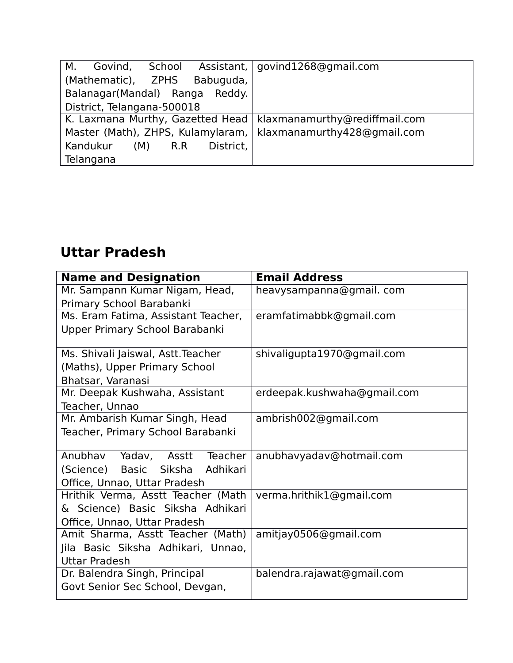| School<br>Govind,<br>М.                                          | Assistant,   govind1268@gmail.com |
|------------------------------------------------------------------|-----------------------------------|
| Babuguda,<br>(Mathematic), ZPHS                                  |                                   |
| Balanagar(Mandal) Ranga<br>Reddy.                                |                                   |
| District, Telangana-500018                                       |                                   |
| K. Laxmana Murthy, Gazetted Head   klaxmanamurthy@rediffmail.com |                                   |
| Master (Math), ZHPS, Kulamylaram,   klaxmanamurthy428@gmail.com  |                                   |
| District,<br>Kandukur<br>(M)<br>R.R                              |                                   |
| Telangana                                                        |                                   |

## **Uttar Pradesh**

| <b>Name and Designation</b>         | <b>Email Address</b>        |
|-------------------------------------|-----------------------------|
| Mr. Sampann Kumar Nigam, Head,      | heavysampanna@gmail.com     |
| Primary School Barabanki            |                             |
| Ms. Eram Fatima, Assistant Teacher, | eramfatimabbk@gmail.com     |
| Upper Primary School Barabanki      |                             |
|                                     |                             |
| Ms. Shivali Jaiswal, Astt. Teacher  | shivaligupta1970@gmail.com  |
| (Maths), Upper Primary School       |                             |
| Bhatsar, Varanasi                   |                             |
| Mr. Deepak Kushwaha, Assistant      | erdeepak.kushwaha@gmail.com |
| Teacher, Unnao                      |                             |
| Mr. Ambarish Kumar Singh, Head      | ambrish002@gmail.com        |
| Teacher, Primary School Barabanki   |                             |
|                                     |                             |
| Anubhav Yadav, Asstt Teacher        | anubhavyadav@hotmail.com    |
| Basic Siksha Adhikari<br>(Science)  |                             |
| Office, Unnao, Uttar Pradesh        |                             |
| Hrithik Verma, Asstt Teacher (Math  | verma.hrithik1@gmail.com    |
| & Science) Basic Siksha Adhikari    |                             |
| Office, Unnao, Uttar Pradesh        |                             |
| Amit Sharma, Asstt Teacher (Math)   | amitjay0506@gmail.com       |
| Jila Basic Siksha Adhikari, Unnao,  |                             |
| <b>Uttar Pradesh</b>                |                             |
| Dr. Balendra Singh, Principal       | balendra.rajawat@gmail.com  |
| Govt Senior Sec School, Devgan,     |                             |
|                                     |                             |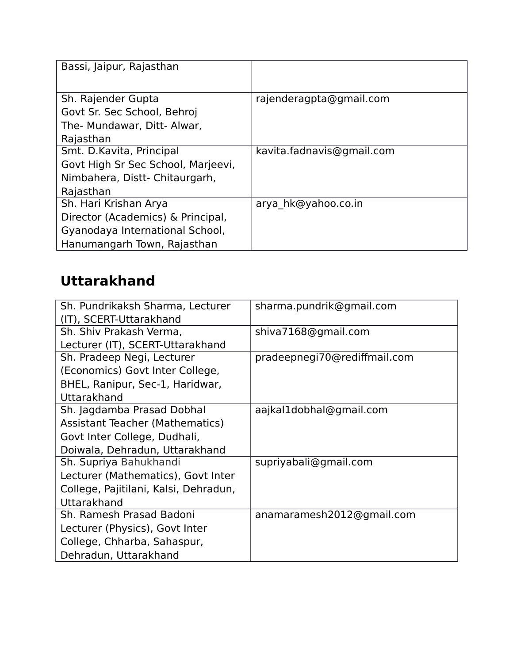| Bassi, Jaipur, Rajasthan                                                                                                     |                           |
|------------------------------------------------------------------------------------------------------------------------------|---------------------------|
| Sh. Rajender Gupta<br>Govt Sr. Sec School, Behroj<br>The- Mundawar, Ditt- Alwar,<br>Rajasthan                                | rajenderagpta@gmail.com   |
| Smt. D. Kavita, Principal<br>Govt High Sr Sec School, Marjeevi,<br>Nimbahera, Distt- Chitaurgarh,<br>Rajasthan               | kavita.fadnavis@gmail.com |
| Sh. Hari Krishan Arya<br>Director (Academics) & Principal,<br>Gyanodaya International School,<br>Hanumangarh Town, Rajasthan | arya hk@yahoo.co.in       |

# **Uttarakhand**

| Sh. Pundrikaksh Sharma, Lecturer       | sharma.pundrik@gmail.com     |
|----------------------------------------|------------------------------|
|                                        |                              |
| (IT), SCERT-Uttarakhand                |                              |
| Sh. Shiv Prakash Verma,                | shiva7168@gmail.com          |
| Lecturer (IT), SCERT-Uttarakhand       |                              |
| Sh. Pradeep Negi, Lecturer             | pradeepnegi70@rediffmail.com |
| (Economics) Govt Inter College,        |                              |
| BHEL, Ranipur, Sec-1, Haridwar,        |                              |
| Uttarakhand                            |                              |
| Sh. Jagdamba Prasad Dobhal             | aajkal1dobhal@gmail.com      |
| <b>Assistant Teacher (Mathematics)</b> |                              |
| Govt Inter College, Dudhali,           |                              |
| Doiwala, Dehradun, Uttarakhand         |                              |
| Sh. Supriya Bahukhandi                 | supriyabali@gmail.com        |
| Lecturer (Mathematics), Govt Inter     |                              |
| College, Pajitilani, Kalsi, Dehradun,  |                              |
| Uttarakhand                            |                              |
| Sh. Ramesh Prasad Badoni               | anamaramesh2012@gmail.com    |
| Lecturer (Physics), Govt Inter         |                              |
| College, Chharba, Sahaspur,            |                              |
| Dehradun, Uttarakhand                  |                              |